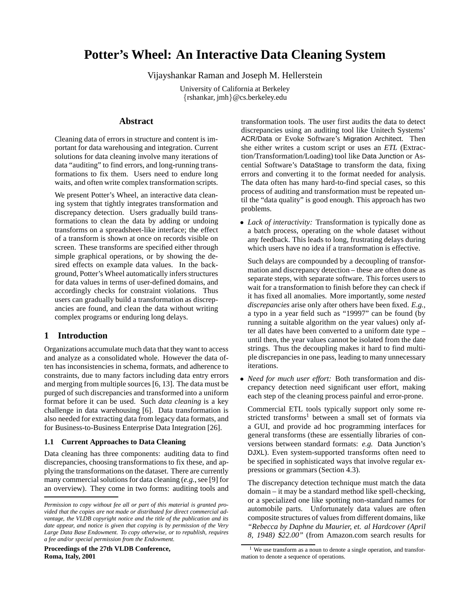# **Potter's Wheel: An Interactive Data Cleaning System**

Vijayshankar Raman and Joseph M. Hellerstein

University of California at Berkeley {rshankar, jmh}@cs.berkeley.edu

# **Abstract**

Cleaning data of errors in structure and content is important for data warehousing and integration. Current solutions for data cleaning involve many iterations of data "auditing" to find errors, and long-running transformations to fix them. Users need to endure long waits, and often write complex transformation scripts.

We present Potter's Wheel, an interactive data cleaning system that tightly integrates transformation and discrepancy detection. Users gradually build transformations to clean the data by adding or undoing transforms on a spreadsheet-like interface; the effect of a transform is shown at once on records visible on screen. These transforms are specified either through simple graphical operations, or by showing the desired effects on example data values. In the background, Potter's Wheel automatically infers structures for data values in terms of user-defined domains, and accordingly checks for constraint violations. Thus users can gradually build a transformation as discrepancies are found, and clean the data without writing complex programs or enduring long delays.

# **1 Introduction**

Organizations accumulate much data that they want to access and analyze as a consolidated whole. However the data often has inconsistencies in schema, formats, and adherence to constraints, due to many factors including data entry errors and merging from multiple sources [6, 13]. The data must be purged of such discrepancies and transformed into a uniform format before it can be used. Such *data cleaning* is a key challenge in data warehousing [6]. Data transformation is also needed for extracting data from legacy data formats, and for Business-to-Business Enterprise Data Integration [26].

# **1.1 Current Approaches to Data Cleaning**

Data cleaning has three components: auditing data to find discrepancies, choosing transformations to fix these, and applying the transformations on the dataset. There are currently many commercial solutions for data cleaning (*e.g.*, see [9] for an overview). They come in two forms: auditing tools and

**Proceedings of the 27th VLDB Conference, Roma, Italy, 2001**

transformation tools. The user first audits the data to detect discrepancies using an auditing tool like Unitech Systems' ACR/Data or Evoke Software's Migration Architect. Then she either writes a custom script or uses an *ETL* (Extraction/Transformation/Loading) tool like Data Junction or Ascential Software's DataStage to transform the data, fixing errors and converting it to the format needed for analysis. The data often has many hard-to-find special cases, so this process of auditing and transformation must be repeated until the "data quality" is good enough. This approach has two problems.

• *Lack of interactivity:* Transformation is typically done as a batch process, operating on the whole dataset without any feedback. This leads to long, frustrating delays during which users have no idea if a transformation is effective.

Such delays are compounded by a decoupling of transformation and discrepancy detection – these are often done as separate steps, with separate software. This forces users to wait for a transformation to finish before they can check if it has fixed all anomalies. More importantly, some *nested discrepancies* arise only after others have been fixed. *E.g.,* a typo in a year field such as "19997" can be found (by running a suitable algorithm on the year values) only after all dates have been converted to a uniform date type – until then, the year values cannot be isolated from the date strings. Thus the decoupling makes it hard to find multiple discrepancies in one pass, leading to many unnecessary iterations.

• *Need for much user effort:* Both transformation and discrepancy detection need significant user effort, making each step of the cleaning process painful and error-prone.

Commercial ETL tools typically support only some restricted transforms<sup>1</sup> between a small set of formats via a GUI, and provide ad hoc programming interfaces for general transforms (these are essentially libraries of conversions between standard formats: *e.g.* Data Junction's DJXL). Even system-supported transforms often need to be specified in sophisticated ways that involve regular expressions or grammars (Section 4.3).

The discrepancy detection technique must match the data domain – it may be a standard method like spell-checking, or a specialized one like spotting non-standard names for automobile parts. Unfortunately data values are often composite structures of values from different domains, like *"Rebecca by Daphne du Maurier, et. al Hardcover (April 8, 1948)* \$*22.00"* (from Amazon.com search results for

*Permission to copy without fee all or part of this material is granted provided that the copies are not made or distributed for direct commercial advantage, the VLDB copyright notice and the title of the publication and its date appear, and notice is given that copying is by permission of the Very Large Data Base Endowment. To copy otherwise, or to republish, requires a fee and/or special permission from the Endowment.*

<sup>&</sup>lt;sup>1</sup> We use transform as a noun to denote a single operation, and transformation to denote a sequence of operations.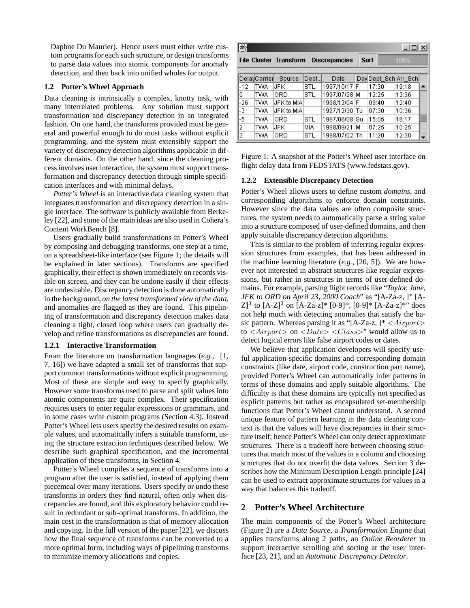Daphne Du Maurier). Hence users must either write custom programs for each such structure, or design transforms to parse data values into atomic components for anomaly detection, and then back into unified wholes for output.

# **1.2 Potter's Wheel Approach**

Data cleaning is intrinsically a complex, knotty task, with many interrelated problems. Any solution must support transformation and discrepancy detection in an integrated fashion. On one hand, the transforms provided must be general and powerful enough to do most tasks without explicit programming, and the system must extensibly support the variety of discrepancy detection algorithms applicable in different domains. On the other hand, since the cleaning process involves user interaction, the system must support transformation and discrepancy detection through simple specification interfaces and with minimal delays.

*Potter's Wheel* is an interactive data cleaning system that integrates transformation and discrepancy detection in a single interface. The software is publicly available from Berkeley [22], and some of the main ideas are also used in Cohera's Content WorkBench [8].

Users gradually build transformations in Potter's Wheel by composing and debugging transforms, one step at a time, on a spreadsheet-like interface (see Figure 1; the details will be explained in later sections). Transforms are specified graphically, their effect is shown immediately on records visible on screen, and they can be undone easily if their effects are undesirable. Discrepancy detection is done automatically in the background, *on the latest transformed view of the data*, and anomalies are flagged as they are found. This pipelining of transformation and discrepancy detection makes data cleaning a tight, closed loop where users can gradually develop and refine transformations as discrepancies are found.

#### **1.2.1 Interactive Transformation**

From the literature on transformation languages (*e.g.*, [1, 7, 16]) we have adapted a small set of transforms that support common transformations without explicit programming. Most of these are simple and easy to specify graphically. However some transforms used to parse and split values into atomic components are quite complex. Their specification requires users to enter regular expressions or grammars, and in some cases write custom programs (Section 4.3). Instead Potter's Wheel lets users specify the desired results on example values, and automatically infers a suitable transform, using the structure extraction techniques described below. We describe such graphical specification, and the incremental application of these transforms, in Section 4.

Potter's Wheel compiles a sequence of transforms into a program after the user is satisfied, instead of applying them piecemeal over many iterations. Users specify or undo these transforms in orders they find natural, often only when discrepancies are found, and this exploratory behavior could result in redundant or sub-optimal transforms. In addition, the main cost in the transformation is that of memory allocation and copying. In the full version of the paper [22], we discuss how the final sequence of transforms can be converted to a more optimal form, including ways of pipelining transforms to minimize memory allocations and copies.

| Š<br>$ \Box$ $\times$ |              |                        |      |                      |      |                      |       |   |
|-----------------------|--------------|------------------------|------|----------------------|------|----------------------|-------|---|
|                       |              | File Cluster Transform |      | <b>Discrepancies</b> | Sort |                      | 100%  |   |
|                       |              |                        |      |                      |      |                      |       |   |
|                       | DelayCarrier | Source                 | Dest | Date                 |      | Day Dept Sch Arr Sch |       |   |
| $-12$                 | TWA          | UFK                    | STL  | 1997/10/17           | F    | 17:30                | 19:18 |   |
| ۵                     | TWA          | ORD                    | STL  | 1997/07/28           | м    | 12:25                | 13:36 |   |
| -26                   | TWA          | UFK to MIA             |      | 1998/12/04           | F    | 09:40                | 12:40 |   |
| -3                    | TWA          | UFK to MIA             |      | 1997/12/30 lTu       |      | 07:30                | 10:36 |   |
| -5                    | TWA          | ORD                    | STL  | 1997/06/08           | Sц   | 15:05                | 16:17 | 鄂 |
| 2                     | TWA          | UFK                    | МIА  | 1998/09/21           | м    | 07:25                | 10:25 |   |
| 3                     | TWA          | ORD                    | STL  | 1998/07/02 lTh       |      | 11:20                | 12:30 |   |

Figure 1: A snapshot of the Potter's Wheel user interface on flight delay data from FEDSTATS (www.fedstats.gov).

#### **1.2.2 Extensible Discrepancy Detection**

Potter's Wheel allows users to define custom *domains*, and corresponding algorithms to enforce domain constraints. However since the data values are often composite structures, the system needs to automatically parse a string value into a structure composed of user-defined domains, and then apply suitable discrepancy detection algorithms.

This is similar to the problem of inferring regular expression structures from examples, that has been addressed in the machine learning literature (*e.g.*, [20, 5]). We are however not interested in abstract structures like regular expressions, but rather in structures in terms of user-defined domains. For example, parsing flight records like "*Taylor, Jane, JFK to ORD on April 23, 2000 Coach*" as "[A-Za-z, ]<sup>∗</sup> [A- $Z^3$  to  $[A-Z]^3$  on  $[A-Za-z]^*$   $[0-9]^*$ ,  $[0-9]^*$   $[A-Za-z]^*$ " does not help much with detecting anomalies that satisfy the basic pattern. Whereas parsing it as "[A-Za-z, ]\*  $\langle Airport \rangle$ to  $\langle Airport \rangle$  on  $\langle Date \rangle \langle Class \rangle$ " would allow us to detect logical errors like false airport codes or dates.

We believe that application developers will specify useful application-specific domains and corresponding domain constraints (like date, airport code, construction part name), provided Potter's Wheel can automatically infer patterns in terms of these domains and apply suitable algorithms. The difficulty is that these domains are typically not specified as explicit patterns but rather as encapsulated set-membership functions that Potter's Wheel cannot understand. A second unique feature of pattern learning in the data cleaning context is that the values will have discrepancies in their structure itself; hence Potter's Wheel can only detect approximate structures. There is a tradeoff here between choosing structures that match most of the values in a column and choosing structures that do not overfit the data values. Section 3 describes how the Minimum Description Length principle [24] can be used to extract approximate structures for values in a way that balances this tradeoff.

# **2 Potter's Wheel Architecture**

The main components of the Potter's Wheel architecture (Figure 2) are a *Data Source*, a *Transformation Engine* that applies transforms along 2 paths, an *Online Reorderer* to support interactive scrolling and sorting at the user interface [23, 21], and an *Automatic Discrepancy Detector*.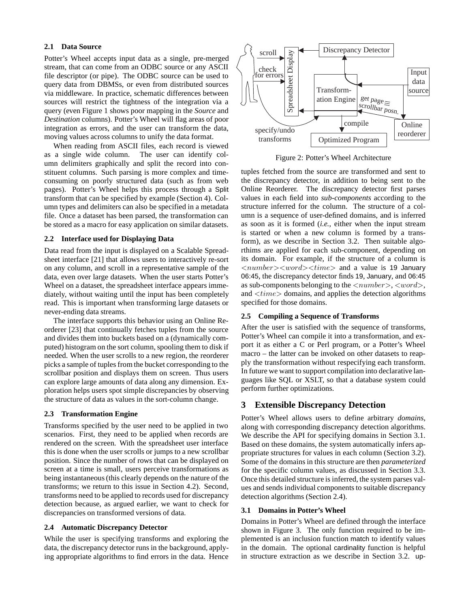# **2.1 Data Source**

Potter's Wheel accepts input data as a single, pre-merged stream, that can come from an ODBC source or any ASCII file descriptor (or pipe). The ODBC source can be used to query data from DBMSs, or even from distributed sources via middleware. In practice, schematic differences between sources will restrict the tightness of the integration via a query (even Figure 1 shows poor mapping in the *Source* and *Destination* columns). Potter's Wheel will flag areas of poor integration as errors, and the user can transform the data, moving values across columns to unify the data format.

When reading from ASCII files, each record is viewed as a single wide column. The user can identify column delimiters graphically and split the record into constituent columns. Such parsing is more complex and timeconsuming on poorly structured data (such as from web pages). Potter's Wheel helps this process through a Split transform that can be specified by example (Section 4). Column types and delimiters can also be specified in a metadata file. Once a dataset has been parsed, the transformation can be stored as a macro for easy application on similar datasets.

# **2.2 Interface used for Displaying Data**

Data read from the input is displayed on a Scalable Spreadsheet interface [21] that allows users to interactively re-sort on any column, and scroll in a representative sample of the data, even over large datasets. When the user starts Potter's Wheel on a dataset, the spreadsheet interface appears immediately, without waiting until the input has been completely read. This is important when transforming large datasets or never-ending data streams.

The interface supports this behavior using an Online Reorderer [23] that continually fetches tuples from the source and divides them into buckets based on a (dynamically computed) histogram on the sort column, spooling them to disk if needed. When the user scrolls to a new region, the reorderer picks a sample of tuples from the bucket corresponding to the scrollbar position and displays them on screen. Thus users can explore large amounts of data along any dimension. Exploration helps users spot simple discrepancies by observing the structure of data as values in the sort-column change.

#### **2.3 Transformation Engine**

Transforms specified by the user need to be applied in two scenarios. First, they need to be applied when records are rendered on the screen. With the spreadsheet user interface this is done when the user scrolls or jumps to a new scrollbar position. Since the number of rows that can be displayed on screen at a time is small, users perceive transformations as being instantaneous (this clearly depends on the nature of the transforms; we return to this issue in Section 4.2). Second, transforms need to be applied to records used for discrepancy detection because, as argued earlier, we want to check for discrepancies on transformed versions of data.

# **2.4 Automatic Discrepancy Detector**

While the user is specifying transforms and exploring the data, the discrepancy detector runs in the background, applying appropriate algorithms to find errors in the data. Hence



Figure 2: Potter's Wheel Architecture

tuples fetched from the source are transformed and sent to the discrepancy detector, in addition to being sent to the Online Reorderer. The discrepancy detector first parses values in each field into *sub-components* according to the structure inferred for the column. The structure of a column is a sequence of user-defined domains, and is inferred as soon as it is formed (*i.e.*, either when the input stream is started or when a new column is formed by a transform), as we describe in Section 3.2. Then suitable algorthims are applied for each sub-component, depending on its domain. For example, if the structure of a column is  $\langle number{\rangle} \langle word{\rangle} \langle time{\rangle}$  and a value is 19 January 06:45, the discrepancy detector finds 19, January, and 06:45 as sub-components belonging to the  $\langle number \rangle$ ,  $\langle word \rangle$ , and  $\langle time \rangle$  domains, and applies the detection algorithms specified for those domains.

# **2.5 Compiling a Sequence of Transforms**

After the user is satisfied with the sequence of transforms, Potter's Wheel can compile it into a transformation, and export it as either a C or Perl program, or a Potter's Wheel macro – the latter can be invoked on other datasets to reapply the transformation without respecifying each transform. In future we want to support compilation into declarative languages like SQL or XSLT, so that a database system could perform further optimizations.

# **3 Extensible Discrepancy Detection**

Potter's Wheel allows users to define arbitrary *domains*, along with corresponding discrepancy detection algorithms. We describe the API for specifying domains in Section 3.1. Based on these domains, the system automatically infers appropriate structures for values in each column (Section 3.2). Some of the domains in this structure are then *parameterized* for the specific column values, as discussed in Section 3.3. Once this detailed structure is inferred, the system parses values and sends individual components to suitable discrepancy detection algorithms (Section 2.4).

# **3.1 Domains in Potter's Wheel**

Domains in Potter's Wheel are defined through the interface shown in Figure 3. The only function required to be implemented is an inclusion function match to identify values in the domain. The optional cardinality function is helpful in structure extraction as we describe in Section 3.2. up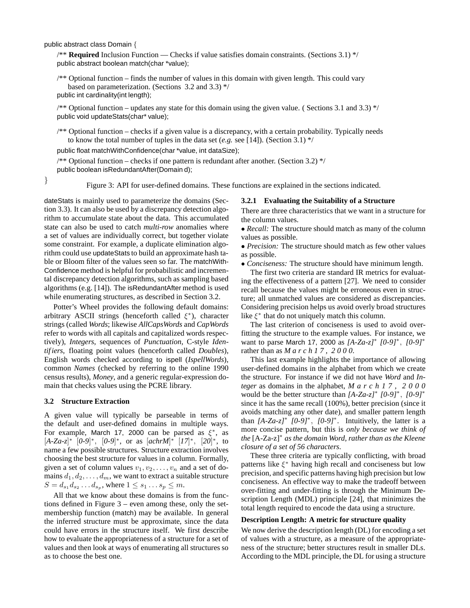public abstract class Domain {

/\*\* **Required** Inclusion Function — Checks if value satisfies domain constraints. (Sections 3.1) \*/ public abstract boolean match(char \*value);

/\*\* Optional function – finds the number of values in this domain with given length. This could vary based on parameterization. (Sections 3.2 and 3.3) \*/

public int cardinality(int length);

/\*\* Optional function – updates any state for this domain using the given value. ( Sections 3.1 and 3.3) \*/ public void updateStats(char\* value);

/\*\* Optional function – checks if a given value is a discrepancy, with a certain probability. Typically needs to know the total number of tuples in the data set (*e.g.* see [14]). (Section 3.1) \*/

public float matchWithConfidence(char \*value, int dataSize);

/\*\* Optional function – checks if one pattern is redundant after another. (Section 3.2) \*/ public boolean isRedundantAfter(Domain d);

} Figure 3: API for user-defined domains. These functions are explained in the sections indicated.

dateStats is mainly used to parameterize the domains (Section 3.3). It can also be used by a discrepancy detection algorithm to accumulate state about the data. This accumulated state can also be used to catch *multi-row* anomalies where a set of values are individually correct, but together violate some constraint. For example, a duplicate elimination algorithm could use updateStats to build an approximate hash table or Bloom filter of the values seen so far. The matchWith-Confidence method is helpful for probabilistic and incremental discrepancy detection algorithms, such as sampling based algorithms (e.g. [14]). The isRedundantAfter method is used while enumerating structures, as described in Section 3.2.

Potter's Wheel provides the following default domains: arbitrary ASCII strings (henceforth called  $\xi^*$ ), character strings (called *Words*; likewise *AllCapsWords* and *CapWords* refer to words with all capitals and capitalized words respectively), *Integers*, sequences of *Punctuation*, C-style *Identif iers*, floating point values (henceforth called *Doubles*), English words checked according to ispell (*IspellWords*), common *Names* (checked by referring to the online 1990 census results), *Money*, and a generic regular-expression domain that checks values using the PCRE library.

### **3.2 Structure Extraction**

A given value will typically be parseable in terms of the default and user-defined domains in multiple ways. For example, March 17, 2000 can be parsed as  $\xi^*$ , as  $[A-Za-z]^*$   $[0-9]^*,$   $[0-9]^*$ , or as  $[achrM]^*$   $[I7]^*,$   $[20]^*,$  to name a few possible structures. Structure extraction involves name a few possible structures. Structure extraction involves choosing the best structure for values in a column. Formally, given a set of column values  $v_1, v_2, \ldots, v_n$  and a set of domains  $d_1, d_2, \ldots, d_m$ , we want to extract a suitable structure  $S = d_{s_1} d_{s_2} ... d_{s_p}$ , where  $1 \leq s_1 ... s_p \leq m$ .

All that we know about these domains is from the functions defined in Figure 3 – even among these, only the setmembership function (match) may be available. In general the inferred structure must be approximate, since the data could have errors in the structure itself. We first describe how to evaluate the appropriateness of a structure for a set of values and then look at ways of enumerating all structures so as to choose the best one.

#### **3.2.1 Evaluating the Suitability of a Structure**

There are three characteristics that we want in a structure for the column values.

- *Recall:* The structure should match as many of the column values as possible.
- *Precision:* The structure should match as few other values as possible.

• *Conciseness:* The structure should have minimum length.

The first two criteria are standard IR metrics for evaluating the effectiveness of a pattern [27]. We need to consider recall because the values might be erroneous even in structure; all unmatched values are considered as discrepancies. Considering precision helps us avoid overly broad structures like  $\xi^*$  that do not uniquely match this column.

The last criterion of conciseness is used to avoid overfitting the structure to the example values. For instance, we want to parse March 17, 2000 as *[A-Za-z]*<sup>∗</sup> *[0-9]*∗, *[0-9]*<sup>∗</sup> rather than as *March17, 2000*.

This last example highlights the importance of allowing user-defined domains in the alphabet from which we create the structure. For instance if we did not have *Word* and *Integer* as domains in the alphabet, *March17, 2000* would be the better structure than *[A-Za-z]*<sup>∗</sup> *[0-9]*∗, *[0-9]*<sup>∗</sup> since it has the same recall (100%), better precision (since it avoids matching any other date), and smaller pattern length than *[A-Za-z]*<sup>∗</sup> *[0-9]*∗, *[0-9]*∗. Intuitively, the latter is a more concise pattern, but this is *only because we think of the* [A-Za-z]<sup>∗</sup> *as the domain Word, rather than as the Kleene closure of a set of 56 characters*.

These three criteria are typically conflicting, with broad patterns like  $\xi^*$  having high recall and conciseness but low precision, and specific patterns having high precision but low conciseness. An effective way to make the tradeoff between over-fitting and under-fitting is through the Minimum Description Length (MDL) principle [24], that minimizes the total length required to encode the data using a structure.

#### **Description Length: A metric for structure quality**

We now derive the description length (DL) for encoding a set of values with a structure, as a measure of the appropriateness of the structure; better structures result in smaller DLs. According to the MDL principle, the DL for using a structure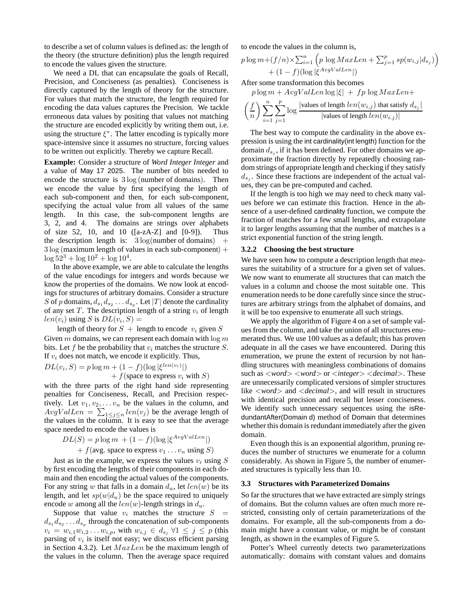to describe a set of column values is defined as: the length of the theory (the structure definition) plus the length required to encode the values given the structure.

We need a DL that can encapsulate the goals of Recall, Precision, and Conciseness (as penalties). Conciseness is directly captured by the length of theory for the structure. For values that match the structure, the length required for encoding the data values captures the Precision. We tackle erroneous data values by positing that values not matching the structure are encoded explicitly by writing them out, i.e. using the structure  $\xi^*$ . The latter encoding is typically more space-intensive since it assumes no structure, forcing values to be written out explicitly. Thereby we capture Recall.

**Example:** Consider a structure of *Word Integer Integer* and a value of May 17 2025. The number of bits needed to encode the structure is 3 log (number of domains). Then we encode the value by first specifying the length of each sub-component and then, for each sub-component, specifying the actual value from all values of the same length. In this case, the sub-component lengths are 3, 2, and 4. The domains are strings over alphabets of size 52, 10, and 10 ([a-zA-Z] and [0-9]). Thus the description length is:  $3 \log(n$ umber of domains) +  $3 \log$  (maximum length of values in each sub-component) +  $\log 52^3 + \log 10^2 + \log 10^4$ .

In the above example, we are able to calculate the lengths of the value encodings for integers and words because we know the properties of the domains. We now look at encodings for structures of arbitrary domains. Consider a structure S of p domains,  $d_{s_1} d_{s_2} \ldots d_{s_p}$ . Let |T| denote the cardinality of any set  $T$ . The description length of a string  $v_i$  of length  $len(v_i)$  using S is  $DL(v_i, S)$  =

length of theory for  $S +$  length to encode  $v_i$  given  $S$ Given  $m$  domains, we can represent each domain with  $\log m$ bits. Let f be the probability that  $v_i$  matches the structure S. If  $v_i$  does not match, we encode it explicitly. Thus,

$$
DL(v_i, S) = p \log m + (1 - f)(\log |\xi^{len(v_i)}|)
$$
  
+  $f$ (space to express  $v_i$  with  $S$ )

 $+ f$ (space to express  $v_i$  with S)<br>with the three parts of the right hand side representing penalties for Conciseness, Recall, and Precision respectively. Let  $v_1, v_2, \ldots v_n$  be the values in the column, and  $AvgValLen = \sum_{1 \leq j \leq n} len(v_j)$  be the average length of the values in the column. It is easy to see that the average space needed to encode the values is

$$
DL(S) = p \log m + (1 - f)(\log |\xi^{AvgValLen}|)
$$
  
+  $f(\text{avg. space to express } v_1 \dots v_n \text{ using } S)$ 

Just as in the example, we express the values  $v_i$  using  $S$ <br>first aposition the langths of their components in each do by first encoding the lengths of their components in each domain and then encoding the actual values of the components. For any string w that falls in a domain  $d_u$ , let  $len(w)$  be its length, and let  $sp(w|d_u)$  be the space required to uniquely encode w among all the  $len(w)$ -length strings in  $d_u$ .

Suppose that value  $v_i$  matches the structure  $S =$  $d_{s_1} d_{s_2} \ldots d_{s_n}$  through the concatenation of sub-components  $v_i = w_{i,1}w_{i,2}...w_{i,p}$ , with  $w_{i,j} \in d_{s_j} \forall 1 \leq j \leq p$  (this parsing of  $v_i$  is itself not easy; we discuss efficient parsing in Section 4.3.2). Let  $MaxLen$  be the maximum length of the values in the column. Then the average space required

to encode the values in the column is,

$$
p \log m + (f/n) \times \sum_{i=1}^{n} \left( p \log MaxLen + \sum_{j=1}^{p} sp(w_{i,j}|d_{s_j}) \right) + (1 - f)(\log |\xi^{AvgValLen}|)
$$
  
After some transformation this becomes

$$
p \log m + AvgValLen \log |\xi| + fp \log MaxLen +
$$
  

$$
\left(\frac{f}{n}\right) \sum_{i=1}^{n} \sum_{j=1}^{p} \log \frac{|\text{values of length } len(w_{i,j}) \text{ that satisfy } d_{s_j}|}{|\text{values of length } len(w_{i,j})|}
$$

The best way to compute the cardinality in the above expression is using the int cardinality(int length) function for the domain  $d_{s_i}$ , if it has been defined. For other domains we approximate the fraction directly by repeatedly choosing random strings of appropriate length and checking if they satisfy  $d_{s_i}$ . Since these fractions are independent of the actual values, they can be pre-computed and cached.

If the length is too high we may need to check many values before we can estimate this fraction. Hence in the absence of a user-defined cardinality function, we compute the fraction of matches for a few small lengths, and extrapolate it to larger lengths assuming that the number of matches is a strict exponential function of the string length.

### **3.2.2 Choosing the best structure**

We have seen how to compute a description length that measures the suitability of a structure for a given set of values. We now want to enumerate all structures that can match the values in a column and choose the most suitable one. This enumeration needs to be done carefully since since the structures are arbitrary strings from the alphabet of domains, and it will be too expensive to enumerate all such strings.

We apply the algorithm of Figure 4 on a set of sample values from the column, and take the union of all structures enumerated thus. We use 100 values as a default; this has proven adequate in all the cases we have encountered. During this enumeration, we prune the extent of recursion by not handling structures with meaningless combinations of domains such as <*word*> <*word*> or <*integer*> <*decimal*>. These are unnecessarily complicated versions of simpler structures like <*word*> and <*decimal*>, and will result in structures with identical precision and recall but lesser conciseness. We identify such unnecessary sequences using the isRedundantAfter(Domain d) method of Domain that determines whether this domain is redundant immediately after the given domain.

Even though this is an exponential algorithm, pruning reduces the number of structures we enumerate for a column considerably. As shown in Figure 5, the number of enumerated structures is typically less than 10.

#### **3.3 Structures with Parameterized Domains**

So far the structures that we have extracted are simply strings of domains. But the column values are often much more restricted, consisting only of certain parameterizations of the domains. For example, all the sub-components from a domain might have a constant value, or might be of constant length, as shown in the examples of Figure 5.

Potter's Wheel currently detects two parameterizations automatically: domains with constant values and domains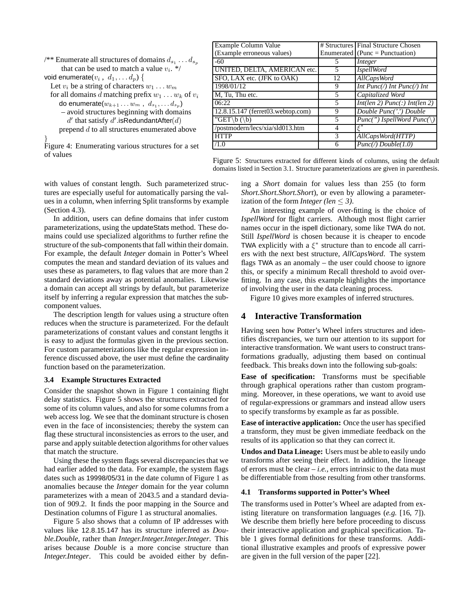| /** Enumerate all structures of domains $d_{s_1} \ldots d_{s_n}$ |
|------------------------------------------------------------------|
| that can be used to match a value $v_i$ . */                     |
| void enumerate $(v_i, d_1, \ldots d_p)$                          |
| Let $\alpha$ be a string of characters $\alpha$                  |

Let  $v_i$  be a string of characters  $w_1 \dots w_m$ <br>for all domains d matching profix  $w_i$ 

```
for all domains d matching prefix w_1 \dots w_k of v_ido enumerate(w_{k+1} \ldots w_m, d_{s_1}, \ldots d_{s_p})
```

```
– avoid structures beginning with domains
```
 $d'$  that satisfy  $d'$  isRedundantAfter( $d$ )<br>enend  $d$  to all structures enumerated a prepend d to all structures enumerated above

} Figure 4: Enumerating various structures for a set of values

| Example Column Value              |    | # Structures Final Structure Chosen |
|-----------------------------------|----|-------------------------------------|
| (Example erroneous values)        |    | $E$ numerated (Punc = Punctuation)  |
| $-60$                             | 5  | Integer                             |
| UNITED, DELTA, AMERICAN etc.      | 5  | <i>IspellWord</i>                   |
| SFO, LAX etc. (JFK to OAK)        | 12 | AllCapsWord                         |
| 1998/01/12                        | 9  | $Int$ Punc(/) $Int$ Punc(/) $Int$   |
| M, Tu, Thu etc.                   | 5  | Capitalized Word                    |
| 06:22                             | 5  | Int(len 2) Punc(:) Int(len 2)       |
| 12.8.15.147 (ferret03.webtop.com) | 9  | Double Punc('') Double              |
| "GET\b(\b)                        | 5  | $Punc(") IspellWord$ $Punc($        |
| /postmodern/lecs/xia/sld013.htm   | 4  | $\varepsilon^*$                     |
| <b>HTTP</b>                       | 3  | AllCapsWord(HTTP)                   |
| /1.0                              | 6  | $Punc(\prime) Double(1.0)$          |

Figure 5: Structures extracted for different kinds of columns, using the default domains listed in Section 3.1. Structure parameterizations are given in parenthesis.

with values of constant length. Such parameterized structures are especially useful for automatically parsing the values in a column, when inferring Split transforms by example (Section 4.3).

In addition, users can define domains that infer custom parameterizations, using the updateStats method. These domains could use specialized algorithms to further refine the structure of the sub-components that fall within their domain. For example, the default *Integer* domain in Potter's Wheel computes the mean and standard deviation of its values and uses these as parameters, to flag values that are more than 2 standard deviations away as potential anomalies. Likewise a domain can accept all strings by default, but parameterize itself by inferring a regular expression that matches the subcomponent values.

The description length for values using a structure often reduces when the structure is parameterized. For the default parameterizations of constant values and constant lengths it is easy to adjust the formulas given in the previous section. For custom parameterizations like the regular expression inference discussed above, the user must define the cardinality function based on the parameterization.

# **3.4 Example Structures Extracted**

Consider the snapshot shown in Figure 1 containing flight delay statistics. Figure 5 shows the structures extracted for some of its column values, and also for some columns from a web access log. We see that the dominant structure is chosen even in the face of inconsistencies; thereby the system can flag these structural inconsistencies as errors to the user, and parse and apply suitable detection algorithms for other values that match the structure.

Using these the system flags several discrepancies that we had earlier added to the data. For example, the system flags dates such as 19998/05/31 in the date column of Figure 1 as anomalies because the *Integer* domain for the year column parameterizes with a mean of 2043.5 and a standard deviation of 909.2. It finds the poor mapping in the Source and Destination columns of Figure 1 as structural anomalies.

Figure 5 also shows that a column of IP addresses with values like 12.8.15.147 has its structure inferred as *Double.Double*, rather than *Integer.Integer.Integer.Integer*. This arises because *Double* is a more concise structure than *Integer.Integer*. This could be avoided either by defining a *Short* domain for values less than 255 (to form *Short.Short.Short.Short*), or even by allowing a parameterization of the form *Integer (len*  $\leq$  3).

An interesting example of over-fitting is the choice of *IspellWord* for flight carriers. Although most flight carrier names occur in the ispell dictionary, some like TWA do not. Still *IspellWord* is chosen because it is cheaper to encode TWA explicitly with a  $\xi^*$  structure than to encode all carriers with the next best structure, *AllCapsWord*. The system flags TWA as an anomaly – the user could choose to ignore this, or specify a minimum Recall threshold to avoid overfitting. In any case, this example highlights the importance of involving the user in the data cleaning process.

Figure 10 gives more examples of inferred structures.

# **4 Interactive Transformation**

Having seen how Potter's Wheel infers structures and identifies discrepancies, we turn our attention to its support for interactive transformation. We want users to construct transformations gradually, adjusting them based on continual feedback. This breaks down into the following sub-goals:

**Ease of specification:** Transforms must be specifiable through graphical operations rather than custom programming. Moreover, in these operations, we want to avoid use of regular-expressions or grammars and instead allow users to specify transforms by example as far as possible.

**Ease of interactive application:** Once the user has specified a transform, they must be given immediate feedback on the results of its application so that they can correct it.

**Undos and Data Lineage:** Users must be able to easily undo transforms after seeing their effect. In addition, the lineage of errors must be clear – *i.e.,* errors intrinsic to the data must be differentiable from those resulting from other transforms.

# **4.1 Transforms supported in Potter's Wheel**

The transforms used in Potter's Wheel are adapted from existing literature on transformation languages (*e.g.* [16, 7]). We describe them briefly here before proceeding to discuss their interactive application and graphical specification. Table 1 gives formal definitions for these transforms. Additional illustrative examples and proofs of expressive power are given in the full version of the paper [22].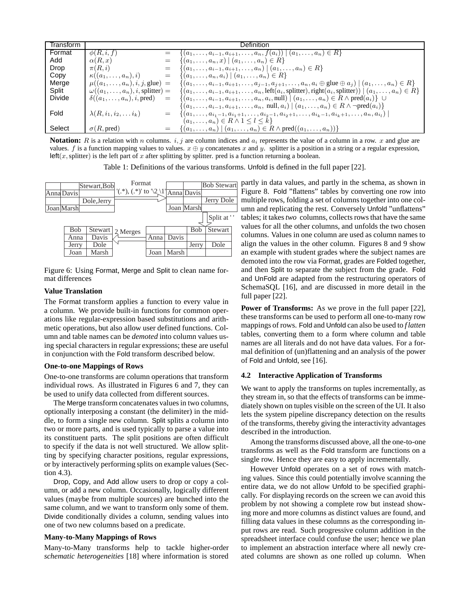| Transtorm     |                                                |     | Definition                                                                                                                                    |
|---------------|------------------------------------------------|-----|-----------------------------------------------------------------------------------------------------------------------------------------------|
| Format        | $\phi(R, i, f)$                                |     | $\{(a_1,\ldots,a_{i-1},a_{i+1},\ldots,a_n,f(a_i))\mid (a_1,\ldots,a_n)\in R\}$                                                                |
| Add           | $\alpha(R,x)$                                  |     | $\{(a_1,\ldots,a_n,x)\mid (a_1,\ldots,a_n)\in R\}$                                                                                            |
| Drop          | $\pi(R, i)$                                    | $=$ | $\{(a_1,\ldots,a_{i-1},a_{i+1},\ldots,a_n) \mid (a_1,\ldots,a_n) \in R\}$                                                                     |
| Copy          | $\kappa((a_1,\ldots,a_n),i)$                   |     | $\{(a_1,\ldots,a_n,a_i)\mid (a_1,\ldots,a_n)\in R\}$                                                                                          |
| Merge         | $\mu((a_1,\ldots,a_n),i,j,\text{glue})$        | $=$ | $\{(a_1, \ldots, a_{i-1}, a_{i+1}, \ldots, a_{j-1}, a_{j+1}, \ldots, a_n, a_i \oplus \text{glue} \oplus a_j) \mid (a_1, \ldots, a_n) \in R\}$ |
| Split         | $\omega((a_1,\ldots,a_n),i, \text{splitter})=$ |     | $\{(a_1,\ldots,a_{i-1},a_{i+1},\ldots,a_n,\text{left}(a_i,\text{splitter}),\text{right}(a_i,\text{splitter})) \mid (a_1,\ldots,a_n) \in R\}$  |
| <b>Divide</b> | $\delta((a_1,\ldots,a_n),i,\text{pred})$       | $=$ | $\{(a_1,\ldots,a_{i-1},a_{i+1},\ldots,a_n,a_i,\text{null}) \mid (a_1,\ldots,a_n) \in R \land \text{pred}(a_i)\}\ \cup$                        |
|               |                                                |     | $\{(a_1, \ldots, a_{i-1}, a_{i+1}, \ldots, a_n, \text{ null}, a_i) \mid (a_1, \ldots, a_n) \in R \land \neg \text{pred}(a_i)\}\$              |
| Fold          | $\lambda(R, i_1, i_2, \ldots i_k)$             |     | $\{(a_1,\ldots,a_{i_1-1},a_{i_1+1},\ldots,a_{i_2-1},a_{i_2+1},\ldots,a_{i_k-1},a_{i_k+1},\ldots,a_n,a_{i_k})\}$                               |
|               |                                                |     | $(a_1,\ldots,a_n)\in R\wedge 1\leq l\leq k$                                                                                                   |
| Select        | $\sigma(R, \text{pred})$                       | $=$ | $\{(a_1,, a_n)   (a_1,, a_n) \in R \wedge \text{pred}((a_1,, a_n))\}\$                                                                        |

**Notation:** R is a relation with n columns.  $i, j$  are column indices and  $a_i$  represents the value of a column in a row. x and glue are values. f is a function mapping values to values.  $x \oplus y$  concatenates x and y. splitter is a position in a string or a regular expression,  $left(x, splitter\right)$  is the left part of x after splitting by splitter. pred is a function returning a boolean.

Table 1: Definitions of the various transforms. Unfold is defined in the full paper [22].



Figure 6: Using Format, Merge and Split to clean name format differences

# **Value Translation**

The Format transform applies a function to every value in a column. We provide built-in functions for common operations like regular-expression based substitutions and arithmetic operations, but also allow user defined functions. Column and table names can be *demoted* into column values using special characters in regular expressions; these are useful in conjunction with the Fold transform described below.

# **One-to-one Mappings of Rows**

One-to-one transforms are column operations that transform individual rows. As illustrated in Figures 6 and 7, they can be used to unify data collected from different sources.

The Merge transform concatenates values in two columns, optionally interposing a constant (the delimiter) in the middle, to form a single new column. Split splits a column into two or more parts, and is used typically to parse a value into its constituent parts. The split positions are often difficult to specify if the data is not well structured. We allow splitting by specifying character positions, regular expressions, or by interactively performing splits on example values (Section 4.3).

Drop, Copy, and Add allow users to drop or copy a column, or add a new column. Occasionally, logically different values (maybe from multiple sources) are bunched into the same column, and we want to transform only some of them. Divide conditionally divides a column, sending values into one of two new columns based on a predicate.

# **Many-to-Many Mappings of Rows**

Many-to-Many transforms help to tackle higher-order *schematic heterogeneities* [18] where information is stored

partly in data values, and partly in the schema, as shown in Figure 8. Fold "flattens" tables by converting one row into multiple rows, folding a set of columns together into one column and replicating the rest. Conversely Unfold "unflattens" tables; it takes*two* columns, collects rows that have the same values for all the other columns, and unfolds the two chosen columns. Values in one column are used as column names to align the values in the other column. Figures 8 and 9 show an example with student grades where the subject names are demoted into the row via Format, grades are Folded together, and then Split to separate the subject from the grade. Fold and UnFold are adapted from the restructuring operators of SchemaSQL [16], and are discussed in more detail in the full paper [22].

**Power of Transforms:** As we prove in the full paper [22], these transforms can be used to perform all one-to-many row mappings of rows. Fold and Unfold can also be used to *f latten* tables, converting them to a form where column and table names are all literals and do not have data values. For a formal definition of (un)flattening and an analysis of the power of Fold and Unfold, see [16].

# **4.2 Interactive Application of Transforms**

We want to apply the transforms on tuples incrementally, as they stream in, so that the effects of transforms can be immediately shown on tuples visible on the screen of the UI. It also lets the system pipeline discrepancy detection on the results of the transforms, thereby giving the interactivity advantages described in the introduction.

Among the transforms discussed above, all the one-to-one transforms as well as the Fold transform are functions on a single row. Hence they are easy to apply incrementally.

However Unfold operates on a set of rows with matching values. Since this could potentially involve scanning the entire data, we do not allow Unfold to be specified graphically. For displaying records on the screen we can avoid this problem by not showing a complete row but instead showing more and more columns as distinct values are found, and filling data values in these columns as the corresponding input rows are read. Such progressive column addition in the spreadsheet interface could confuse the user; hence we plan to implement an abstraction interface where all newly created columns are shown as one rolled up column. When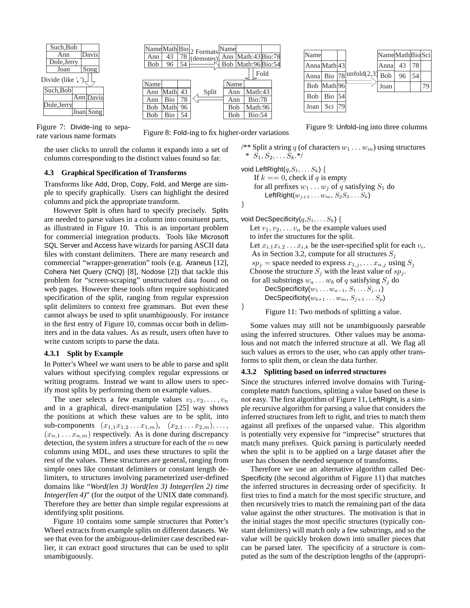

Split Fold Name Math Bio 2 Formats Name  $\frac{2 \text{ r} \cdot \text{smass}}{\text{Ann}}$ Bob Math:96 Bio:54 Math:43 Bio:78 43 96 Ann Bob 78 54 Ann Bob Bob Ann Name Math:96 Bio:54 Math:43 Bio:78 Math Bio Math 96 Bio Ann Ann Bob Bob Name 43 78 54

 $\overline{78}$  unfold(2,3) Math Bio Math Bio Name Anna Anna Bob Bob 43 96 54 Joan | Sci  $|79$ 79 Name|Math|Bio|Sci 78 54 43 96 Anna Bob Joan

Figure 9: Unfold-ing into three columns

Figure 7: Divide-ing to separate various name formats

the user clicks to unroll the column it expands into a set of columns corresponding to the distinct values found so far.

### **4.3 Graphical Specification of Transforms**

Transforms like Add, Drop, Copy, Fold, and Merge are simple to specify graphically. Users can highlight the desired columns and pick the appropriate transform.

However Split is often hard to specify precisely. Splits are needed to parse values in a column into consituent parts, as illustrated in Figure 10. This is an important problem for commercial integration products. Tools like Microsoft SQL Server and Access have wizards for parsing ASCII data files with constant delimiters. There are many research and commercial "wrapper-generation" tools (e.g. Araneus [12], Cohera Net Query (CNQ) [8], Nodose [2]) that tackle this problem for "screen-scraping" unstructured data found on web pages. However these tools often require sophisticated specification of the split, ranging from regular expression split delimiters to context free grammars. But even these cannot always be used to split unambiguously. For instance in the first entry of Figure 10, commas occur both in delimiters and in the data values. As as result, users often have to write custom scripts to parse the data.

# **4.3.1 Split by Example**

In Potter's Wheel we want users to be able to parse and split values without specifying complex regular expressions or writing programs. Instead we want to allow users to specify most splits by performing them on example values.

The user selects a few example values  $v_1, v_2, \ldots, v_n$ and in a graphical, direct-manipulation [25] way shows the positions at which these values are to be split, into sub-components  $(x_{1,1}x_{1,2} \ldots x_{1,m}), (x_{2,1} \ldots x_{2,m}), \ldots,$  $(x_{n,1} \ldots x_{n,m})$  respectively. As is done during discrepancy detection, the system infers a structure for each of the  $m$  new columns using MDL, and uses these structures to split the rest of the values. These structures are general, ranging from simple ones like constant delimiters or constant length delimiters, to structures involving parameterized user-defined domains like "*Word(len 3) Word(len 3) Integer(len 2) time Integer(len 4)*" (for the output of the UNIX date command). Therefore they are better than simple regular expressions at identifying split positions.

Figure 10 contains some sample structures that Potter's Wheel extracts from example splits on different datasets. We see that even for the ambiguous-delimiter case described earlier, it can extract good structures that can be used to split unambiguously.

Figure 8: Fold-ing to fix higher-order variations

/\*\* Split a string q (of characters  $w_1 \dots w_m$ ) using structures \*  $S_1, S_2, \ldots S_k.*$ 

void LeftRight $(q,S_1,\ldots,S_k)$  { If  $k == 0$ , check if q is empty for all prefixes  $w_1 \dots w_j$  of q satisfying  $S_1$  do LeftRight $(w_{i+1} \ldots w_m, S_2S_3 \ldots S_k)$ }

void DecSpecificity $(q,S_1,\ldots,S_k)$  { Let  $v_1, v_2, \ldots v_n$  be the example values used to infer the structures for the split. Let  $x_{i,1}x_{i,2} \ldots x_{i,k}$  be the user-specified split for each  $v_i$ . As in Section 3.2, compute for all structures  $S_i$  $sp_j$  = space needed to express  $x_{1,j}, \ldots x_{n,j}$  using  $S_j$ Choose the structure  $S_j$  with the least value of  $sp_j$ . for all substrings  $w_a \dots w_b$  of q satisfying  $S_i$  do DecSpecificity $(w_1 \ldots w_{a-1}, S_1 \ldots S_{i-1})$ DecSpecificity( $w_{b+1} \ldots w_m$ ,  $S_{j+1} \ldots S_p$ ) } Figure 11: Two methods of splitting a value.

Some values may still not be unambiguously parseable using the inferred structures. Other values may be anomalous and not match the inferred structure at all. We flag all such values as errors to the user, who can apply other transforms to split them, or clean the data further.

#### **4.3.2 Splitting based on inferred structures**

Since the structures inferred involve domains with Turingcomplete match functions, splitting a value based on these is not easy. The first algorithm of Figure 11, LeftRight, is a simple recursive algorithm for parsing a value that considers the inferred structures from left to right, and tries to match them against all prefixes of the unparsed value. This algorithm is potentially very expensive for "imprecise" structures that match many prefixes. Quick parsing is particularly needed when the split is to be applied on a large dataset after the user has chosen the needed sequence of transforms.

Therefore we use an alternative algorithm called Dec-Specificity (the second algorithm of Figure 11) that matches the inferred structures in decreasing order of specificity. It first tries to find a match for the most specific structure, and then recursively tries to match the remaining part of the data value against the other structures. The motivation is that in the initial stages the most specific structures (typically constant delimiters) will match only a few substrings, and so the value will be quickly broken down into smaller pieces that can be parsed later. The specificity of a structure is computed as the sum of the description lengths of the (appropri-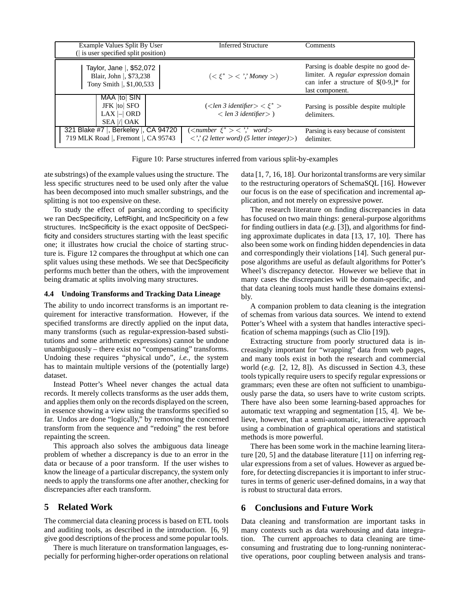| Example Values Split By User<br>(is user specified split position)                     | <b>Inferred Structure</b>                                                                                                                        | Comments                                                                                                                                    |  |  |
|----------------------------------------------------------------------------------------|--------------------------------------------------------------------------------------------------------------------------------------------------|---------------------------------------------------------------------------------------------------------------------------------------------|--|--|
| Taylor, Jane  , \$52,072<br>Blair, John  , \$73,238<br>Tony Smith $\vert$ , \$1,00,533 | $(<\xi^*><$ '',' Money >)                                                                                                                        | Parsing is doable despite no good de-<br>limiter. A regular expression domain<br>can infer a structure of $$[0-9,]*$ for<br>last component. |  |  |
| MAA  to  SIN<br>JFK  to  SFO<br>$LAX \mid \mid$ ORD<br>SEA  /  OAK                     | $\langle$ < len 3 identifier > $\langle \xi^* \rangle$<br>$\langle$ len 3 identifier $\rangle$ )                                                 | Parsing is possible despite multiple<br>delimiters.                                                                                         |  |  |
| 321 Blake #7  , Berkeley  , CA 94720<br>719 MLK Road  , Fremont  , CA 95743            | $\overline{\langle \langle number \xi^* \rangle} \langle \cdot \rangle$ word $\rangle$<br>$\langle$ ',' (2 letter word) (5 letter integer) $>$ ) | Parsing is easy because of consistent<br>delimiter.                                                                                         |  |  |

Figure 10: Parse structures inferred from various split-by-examples

ate substrings) of the example values using the structure. The less specific structures need to be used only after the value has been decomposed into much smaller substrings, and the splitting is not too expensive on these.

To study the effect of parsing according to specificity we ran DecSpecificity, LeftRight, and IncSpecificity on a few structures. IncSpecificity is the exact opposite of DecSpecificity and considers structures starting with the least specific one; it illustrates how crucial the choice of starting structure is. Figure 12 compares the throughput at which one can split values using these methods. We see that DecSpecificity performs much better than the others, with the improvement being dramatic at splits involving many structures.

# **4.4 Undoing Transforms and Tracking Data Lineage**

The ability to undo incorrect transforms is an important requirement for interactive transformation. However, if the specified transforms are directly applied on the input data, many transforms (such as regular-expression-based substitutions and some arithmetic expressions) cannot be undone unambiguously – there exist no "compensating" transforms. Undoing these requires "physical undo", *i.e.,* the system has to maintain multiple versions of the (potentially large) dataset.

Instead Potter's Wheel never changes the actual data records. It merely collects transforms as the user adds them, and applies them only on the records displayed on the screen, in essence showing a view using the transforms specified so far. Undos are done "logically," by removing the concerned transform from the sequence and "redoing" the rest before repainting the screen.

This approach also solves the ambiguous data lineage problem of whether a discrepancy is due to an error in the data or because of a poor transform. If the user wishes to know the lineage of a particular discrepancy, the system only needs to apply the transforms one after another, checking for discrepancies after each transform.

# **5 Related Work**

The commercial data cleaning process is based on ETL tools and auditing tools, as described in the introduction. [6, 9] give good descriptions of the process and some popular tools.

There is much literature on transformation languages, especially for performing higher-order operations on relational data [1, 7, 16, 18]. Our horizontal transforms are very similar to the restructuring operators of SchemaSQL [16]. However our focus is on the ease of specification and incremental application, and not merely on expressive power.

The research literature on finding discrepancies in data has focused on two main things: general-purpose algorithms for finding outliers in data (*e.g.* [3]), and algorithms for finding approximate duplicates in data [13, 17, 10]. There has also been some work on finding hidden dependencies in data and correspondingly their violations [14]. Such general purpose algorithms are useful as default algorithms for Potter's Wheel's discrepancy detector. However we believe that in many cases the discrepancies will be domain-specific, and that data cleaning tools must handle these domains extensibly.

A companion problem to data cleaning is the integration of schemas from various data sources. We intend to extend Potter's Wheel with a system that handles interactive specification of schema mappings (such as Clio [19]).

Extracting structure from poorly structured data is increasingly important for "wrapping" data from web pages, and many tools exist in both the research and commercial world (*e.g.* [2, 12, 8]). As discussed in Section 4.3, these tools typically require users to specify regular expressions or grammars; even these are often not sufficient to unambiguously parse the data, so users have to write custom scripts. There have also been some learning-based approaches for automatic text wrapping and segmentation [15, 4]. We believe, however, that a semi-automatic, interactive approach using a combination of graphical operations and statistical methods is more powerful.

There has been some work in the machine learning literature [20, 5] and the database literature [11] on inferring regular expressions from a set of values. However as argued before, for detecting discrepancies it is important to infer structures in terms of generic user-defined domains, in a way that is robust to structural data errors.

# **6 Conclusions and Future Work**

Data cleaning and transformation are important tasks in many contexts such as data warehousing and data integration. The current approaches to data cleaning are timeconsuming and frustrating due to long-running noninteractive operations, poor coupling between analysis and trans-